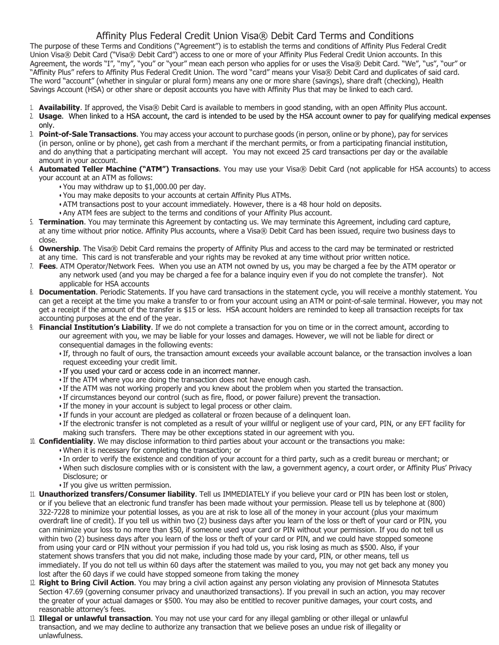## Affinity Plus Federal Credit Union Visa® Debit Card Terms and Conditions

The purpose of these Terms and Conditions ("Agreement") is to establish the terms and conditions of Affinity Plus Federal Credit Union Visa® Debit Card ("Visa® Debit Card") access to one or more of your Affinity Plus Federal Credit Union accounts. In this Agreement, the words "I", "my", "you" or "your" mean each person who applies for or uses the Visa® Debit Card. "We", "us", "our" or "Affinity Plus" refers to Affinity Plus Federal Credit Union. The word "card" means your Visa® Debit Card and duplicates of said card. The word "account" (whether in singular or plural form) means any one or more share (savings), share draft (checking), Health Savings Account (HSA) or other share or deposit accounts you have with Affinity Plus that may be linked to each card.

- 1. **Availability**. If approved, the Visa® Debit Card is available to members in good standing, with an open Affinity Plus account.
- 2. **Usage**. When linked to a HSA account, the card is intended to be used by the HSA account owner to pay for qualifying medical expenses only.
- 3. **Point-of-Sale Transactions**. You may access your account to purchase goods (in person, online or by phone), pay for services (in person, online or by phone), get cash from a merchant if the merchant permits, or from a participating financial institution, and do anything that a participating merchant will accept. You may not exceed 25 card transactions per day or the available amount in your account.
- 4. **Automated Teller Machine ("ATM") Transactions**. You may use your Visa® Debit Card (not applicable for HSA accounts) to access your account at an ATM as follows:
	- You may withdraw up to \$1,000.00 per day.
	- You may make deposits to your accounts at certain Affinity Plus ATMs.
	- ATM transactions post to your account immediately. However, there is a 48 hour hold on deposits.
	- Any ATM fees are subject to the terms and conditions of your Affinity Plus account.
- 5. **Termination**. You may terminate this Agreement by contacting us. We may terminate this Agreement, including card capture, at any time without prior notice. Affinity Plus accounts, where a Visa® Debit Card has been issued, require two business days to close.
- 6. **Ownership**. The Visa® Debit Card remains the property of Affinity Plus and access to the card may be terminated or restricted at any time. This card is not transferable and your rights may be revoked at any time without prior written notice.
- 7. **Fees**. ATM Operator/Network Fees. When you use an ATM not owned by us, you may be charged a fee by the ATM operator or any network used (and you may be charged a fee for a balance inquiry even if you do not complete the transfer). Not applicable for HSA accounts
- 8. **Documentation**. Periodic Statements. If you have card transactions in the statement cycle, you will receive a monthly statement. You can get a receipt at the time you make a transfer to or from your account using an ATM or point-of-sale terminal. However, you may not get a receipt if the amount of the transfer is \$15 or less. HSA account holders are reminded to keep all transaction receipts for tax accounting purposes at the end of the year.
- 9. **Financial Institution's Liability**. If we do not complete a transaction for you on time or in the correct amount, according to our agreement with you, we may be liable for your losses and damages. However, we will not be liable for direct or consequential damages in the following events:
	- If, through no fault of ours, the transaction amount exceeds your available account balance, or the transaction involves a loan request exceeding your credit limit.
	- If you used your card or access code in an incorrect manner.
	- If the ATM where you are doing the transaction does not have enough cash.
	- If the ATM was not working properly and you knew about the problem when you started the transaction.
	- If circumstances beyond our control (such as fire, flood, or power failure) prevent the transaction.
	- If the money in your account is subject to legal process or other claim.
	- If funds in your account are pledged as collateral or frozen because of a delinquent loan.
	- If the electronic transfer is not completed as a result of your willful or negligent use of your card, PIN, or any EFT facility for making such transfers. There may be other exceptions stated in our agreement with you.
- 10. **Confidentiality**. We may disclose information to third parties about your account or the transactions you make:
	- When it is necessary for completing the transaction; or
		- In order to verify the existence and condition of your account for a third party, such as a credit bureau or merchant; or
		- When such disclosure complies with or is consistent with the law, a government agency, a court order, or Affinity Plus' Privacy Disclosure; or
		- If you give us written permission.
- 11. **Unauthorized transfers/Consumer liability**. Tell us IMMEDIATELY if you believe your card or PIN has been lost or stolen, or if you believe that an electronic fund transfer has been made without your permission. Please tell us by telephone at (800) 322-7228 to minimize your potential losses, as you are at risk to lose all of the money in your account (plus your maximum overdraft line of credit). If you tell us within two (2) business days after you learn of the loss or theft of your card or PIN, you can minimize your loss to no more than \$50, if someone used your card or PIN without your permission. If you do not tell us within two (2) business days after you learn of the loss or theft of your card or PIN, and we could have stopped someone from using your card or PIN without your permission if you had told us, you risk losing as much as \$500. Also, if your statement shows transfers that you did not make, including those made by your card, PIN, or other means, tell us immediately. If you do not tell us within 60 days after the statement was mailed to you, you may not get back any money you lost after the 60 days if we could have stopped someone from taking the money
- 12. **Right to Bring Civil Action**. You may bring a civil action against any person violating any provision of Minnesota Statutes Section 47.69 (governing consumer privacy and unauthorized transactions). If you prevail in such an action, you may recover the greater of your actual damages or \$500. You may also be entitled to recover punitive damages, your court costs, and reasonable attorney's fees.
- 13. **Illegal or unlawful transaction**. You may not use your card for any illegal gambling or other illegal or unlawful transaction, and we may decline to authorize any transaction that we believe poses an undue risk of illegality or unlawfulness.